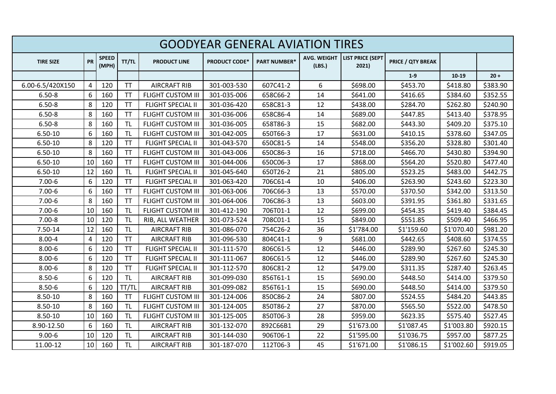| <b>GOODYEAR GENERAL AVIATION TIRES</b> |           |                       |           |                          |                      |                     |                              |                                  |                          |            |          |
|----------------------------------------|-----------|-----------------------|-----------|--------------------------|----------------------|---------------------|------------------------------|----------------------------------|--------------------------|------------|----------|
| <b>TIRE SIZE</b>                       | <b>PR</b> | <b>SPEED</b><br>(MPH) | TT/TL     | <b>PRODUCT LINE</b>      | <b>PRODUCT CODE*</b> | <b>PART NUMBER*</b> | <b>AVG. WEIGHT</b><br>(LBS.) | <b>LIST PRICE (SEPT</b><br>2021) | <b>PRICE / QTY BREAK</b> |            |          |
|                                        |           |                       |           |                          |                      |                     |                              |                                  | $1-9$                    | 10-19      | $20 +$   |
| 6.00-6.5/420X150                       | 4         | 120                   | <b>TT</b> | <b>AIRCRAFT RIB</b>      | 301-003-530          | 607C41-2            | 6                            | \$698.00                         | \$453.70                 | \$418.80   | \$383.90 |
| $6.50 - 8$                             | 6         | 160                   | <b>TT</b> | <b>FLIGHT CUSTOM III</b> | 301-035-006          | 658C66-2            | 14                           | \$641.00                         | \$416.65                 | \$384.60   | \$352.55 |
| $6.50 - 8$                             | 8         | 120                   | <b>TT</b> | <b>FLIGHT SPECIAL II</b> | 301-036-420          | 658C81-3            | 12                           | \$438.00                         | \$284.70                 | \$262.80   | \$240.90 |
| $6.50 - 8$                             | 8         | 160                   | <b>TT</b> | <b>FLIGHT CUSTOM III</b> | 301-036-006          | 658C86-4            | 14                           | \$689.00                         | \$447.85                 | \$413.40   | \$378.95 |
| $6.50 - 8$                             | 8         | 160                   | <b>TL</b> | <b>FLIGHT CUSTOM III</b> | 301-036-005          | 658T86-3            | 15                           | \$682.00                         | \$443.30                 | \$409.20   | \$375.10 |
| $6.50 - 10$                            | 6         | 160                   | <b>TL</b> | <b>FLIGHT CUSTOM III</b> | 301-042-005          | 650T66-3            | 17                           | \$631.00                         | \$410.15                 | \$378.60   | \$347.05 |
| $6.50 - 10$                            | 8         | 120                   | <b>TT</b> | <b>FLIGHT SPECIAL II</b> | 301-043-570          | 650C81-5            | 14                           | \$548.00                         | \$356.20                 | \$328.80   | \$301.40 |
| $6.50 - 10$                            | 8         | 160                   | <b>TT</b> | <b>FLIGHT CUSTOM III</b> | 301-043-006          | 650C86-3            | 16                           | \$718.00                         | \$466.70                 | \$430.80   | \$394.90 |
| $6.50 - 10$                            | 10        | 160                   | <b>TT</b> | <b>FLIGHT CUSTOM III</b> | 301-044-006          | 650C06-3            | 17                           | \$868.00                         | \$564.20                 | \$520.80   | \$477.40 |
| $6.50 - 10$                            | 12        | 160                   | <b>TL</b> | <b>FLIGHT SPECIAL II</b> | 301-045-640          | 650T26-2            | 21                           | \$805.00                         | \$523.25                 | \$483.00   | \$442.75 |
| $7.00 - 6$                             | 6         | 120                   | <b>TT</b> | <b>FLIGHT SPECIAL II</b> | 301-063-420          | 706C61-4            | 10                           | \$406.00                         | \$263.90                 | \$243.60   | \$223.30 |
| $7.00 - 6$                             | 6         | 160                   | <b>TT</b> | <b>FLIGHT CUSTOM III</b> | 301-063-006          | 706C66-3            | 13                           | \$570.00                         | \$370.50                 | \$342.00   | \$313.50 |
| $7.00 - 6$                             | 8         | 160                   | TT        | <b>FLIGHT CUSTOM III</b> | 301-064-006          | 706C86-3            | 13                           | \$603.00                         | \$391.95                 | \$361.80   | \$331.65 |
| $7.00 - 6$                             | 10        | 160                   | <b>TL</b> | <b>FLIGHT CUSTOM III</b> | 301-412-190          | 706T01-1            | 12                           | \$699.00                         | \$454.35                 | \$419.40   | \$384.45 |
| $7.00 - 8$                             | 10        | 120                   | <b>TL</b> | RIB, ALL WEATHER         | 301-073-524          | 708C01-1            | 15                           | \$849.00                         | \$551.85                 | \$509.40   | \$466.95 |
| 7.50-14                                | 12        | 160                   | <b>TL</b> | <b>AIRCRAFT RIB</b>      | 301-086-070          | 754C26-2            | 36                           | \$1'784.00                       | \$1'159.60               | \$1'070.40 | \$981.20 |
| $8.00 - 4$                             | 4         | 120                   | <b>TT</b> | <b>AIRCRAFT RIB</b>      | 301-096-530          | 804C41-1            | 9                            | \$681.00                         | \$442.65                 | \$408.60   | \$374.55 |
| $8.00 - 6$                             | 6         | 120                   | <b>TT</b> | <b>FLIGHT SPECIAL II</b> | 301-111-570          | 806C61-5            | 12                           | \$446.00                         | \$289.90                 | \$267.60   | \$245.30 |
| $8.00 - 6$                             | 6         | 120                   | <b>TT</b> | <b>FLIGHT SPECIAL II</b> | 301-111-067          | 806C61-5            | 12                           | \$446.00                         | \$289.90                 | \$267.60   | \$245.30 |
| $8.00 - 6$                             | 8         | 120                   | <b>TT</b> | <b>FLIGHT SPECIAL II</b> | 301-112-570          | 806C81-2            | 12                           | \$479.00                         | \$311.35                 | \$287.40   | \$263.45 |
| $8.50 - 6$                             | 6         | 120                   | <b>TL</b> | <b>AIRCRAFT RIB</b>      | 301-099-030          | 856T61-1            | 15                           | \$690.00                         | \$448.50                 | \$414.00   | \$379.50 |
| $8.50 - 6$                             | 6         | 120                   | TT/TL     | <b>AIRCRAFT RIB</b>      | 301-099-082          | 856T61-1            | 15                           | \$690.00                         | \$448.50                 | \$414.00   | \$379.50 |
| 8.50-10                                | 8         | 160                   | <b>TT</b> | <b>FLIGHT CUSTOM III</b> | 301-124-006          | 850C86-2            | 24                           | \$807.00                         | \$524.55                 | \$484.20   | \$443.85 |
| 8.50-10                                | 8         | 160                   | <b>TL</b> | <b>FLIGHT CUSTOM III</b> | 301-124-005          | 850T86-2            | 27                           | \$870.00                         | \$565.50                 | \$522.00   | \$478.50 |
| $8.50 - 10$                            | 10        | 160                   | <b>TL</b> | <b>FLIGHT CUSTOM III</b> | 301-125-005          | 850T06-3            | 28                           | \$959.00                         | \$623.35                 | \$575.40   | \$527.45 |
| 8.90-12.50                             | 6         | 160                   | <b>TL</b> | <b>AIRCRAFT RIB</b>      | 301-132-070          | 892C66B1            | 29                           | \$1'673.00                       | \$1'087.45               | \$1'003.80 | \$920.15 |
| $9.00 - 6$                             | 10        | 120                   | <b>TL</b> | <b>AIRCRAFT RIB</b>      | 301-144-030          | 906T06-1            | 22                           | \$1'595.00                       | \$1'036.75               | \$957.00   | \$877.25 |
| 11.00-12                               | 10        | 160                   | <b>TL</b> | <b>AIRCRAFT RIB</b>      | 301-187-070          | 112T06-3            | 45                           | \$1'671.00                       | \$1'086.15               | \$1'002.60 | \$919.05 |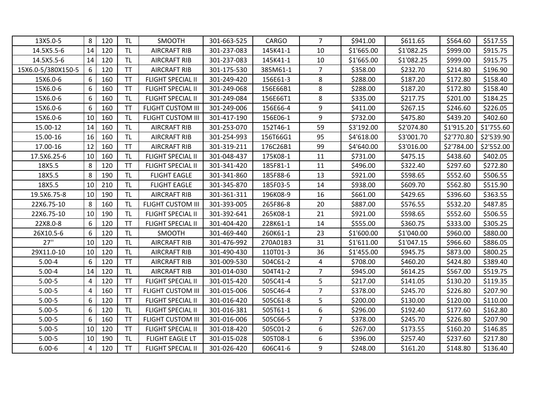| 13X5.0-5           | 8              | 120 | <b>TL</b> | <b>SMOOTH</b>            | 301-663-525 | <b>CARGO</b> | 7              | \$941.00   | \$611.65   | \$564.60   | \$517.55   |
|--------------------|----------------|-----|-----------|--------------------------|-------------|--------------|----------------|------------|------------|------------|------------|
| 14.5X5.5-6         | 14             | 120 | <b>TL</b> | <b>AIRCRAFT RIB</b>      | 301-237-083 | 145K41-1     | 10             | \$1'665.00 | \$1'082.25 | \$999.00   | \$915.75   |
| 14.5X5.5-6         | 14             | 120 | <b>TL</b> | <b>AIRCRAFT RIB</b>      | 301-237-083 | 145K41-1     | 10             | \$1'665.00 | \$1'082.25 | \$999.00   | \$915.75   |
| 15X6.0-5/380X150-5 | 6              | 120 | <b>TT</b> | <b>AIRCRAFT RIB</b>      | 301-175-530 | 385M61-1     | $\overline{7}$ | \$358.00   | \$232.70   | \$214.80   | \$196.90   |
| 15X6.0-6           | 6              | 160 | <b>TT</b> | <b>FLIGHT SPECIAL II</b> | 301-249-420 | 156E61-3     | 8              | \$288.00   | \$187.20   | \$172.80   | \$158.40   |
| 15X6.0-6           | 6              | 160 | <b>TT</b> | FLIGHT SPECIAL II        | 301-249-068 | 156E66B1     | 8              | \$288.00   | \$187.20   | \$172.80   | \$158.40   |
| 15X6.0-6           | 6              | 160 | <b>TL</b> | <b>FLIGHT SPECIAL II</b> | 301-249-084 | 156E66T1     | 8              | \$335.00   | \$217.75   | \$201.00   | \$184.25   |
| 15X6.0-6           | 6              | 160 | <b>TT</b> | <b>FLIGHT CUSTOM III</b> | 301-249-006 | 156E66-4     | 9              | \$411.00   | \$267.15   | \$246.60   | \$226.05   |
| 15X6.0-6           | 10             | 160 | <b>TL</b> | <b>FLIGHT CUSTOM III</b> | 301-417-190 | 156E06-1     | 9              | \$732.00   | \$475.80   | \$439.20   | \$402.60   |
| 15.00-12           | 14             | 160 | <b>TL</b> | <b>AIRCRAFT RIB</b>      | 301-253-070 | 152T46-1     | 59             | \$3'192.00 | \$2'074.80 | \$1'915.20 | \$1'755.60 |
| 15.00-16           | 16             | 160 | <b>TL</b> | <b>AIRCRAFT RIB</b>      | 301-254-993 | 156T66G1     | 95             | \$4'618.00 | \$3'001.70 | \$2'770.80 | \$2'539.90 |
| 17.00-16           | 12             | 160 | <b>TT</b> | <b>AIRCRAFT RIB</b>      | 301-319-211 | 176C26B1     | 99             | \$4'640.00 | \$3'016.00 | \$2'784.00 | \$2'552.00 |
| 17.5X6.25-6        | 10             | 160 | <b>TL</b> | <b>FLIGHT SPECIAL II</b> | 301-048-437 | 175K08-1     | 11             | \$731.00   | \$475.15   | \$438.60   | \$402.05   |
| 18X5.5             | 8              | 120 | <b>TT</b> | <b>FLIGHT SPECIAL II</b> | 301-341-420 | 185F81-1     | 11             | \$496.00   | \$322.40   | \$297.60   | \$272.80   |
| 18X5.5             | 8              | 190 | <b>TL</b> | <b>FLIGHT EAGLE</b>      | 301-341-860 | 185F88-6     | 13             | \$921.00   | \$598.65   | \$552.60   | \$506.55   |
| 18X5.5             | 10             | 210 | <b>TL</b> | <b>FLIGHT EAGLE</b>      | 301-345-870 | 185F03-5     | 14             | \$938.00   | \$609.70   | \$562.80   | \$515.90   |
| 19.5X6.75-8        | 10             | 190 | <b>TL</b> | <b>AIRCRAFT RIB</b>      | 301-361-311 | 196K08-9     | 16             | \$661.00   | \$429.65   | \$396.60   | \$363.55   |
| 22X6.75-10         | 8              | 160 | <b>TL</b> | <b>FLIGHT CUSTOM III</b> | 301-393-005 | 265F86-8     | 20             | \$887.00   | \$576.55   | \$532.20   | \$487.85   |
| 22X6.75-10         | 10             | 190 | <b>TL</b> | <b>FLIGHT SPECIAL II</b> | 301-392-641 | 265K08-1     | 21             | \$921.00   | \$598.65   | \$552.60   | \$506.55   |
| 22X8.0-8           | 6              | 120 | <b>TT</b> | <b>FLIGHT SPECIAL II</b> | 301-404-420 | 228K61-1     | 14             | \$555.00   | \$360.75   | \$333.00   | \$305.25   |
| 26X10.5-6          | 6              | 120 | <b>TL</b> | SMOOTH                   | 301-469-440 | 260K61-1     | 23             | \$1'600.00 | \$1'040.00 | \$960.00   | \$880.00   |
| 27"                | 10             | 120 | <b>TL</b> | <b>AIRCRAFT RIB</b>      | 301-476-992 | 270A01B3     | 31             | \$1'611.00 | \$1'047.15 | \$966.60   | \$886.05   |
| 29X11.0-10         | 10             | 120 | <b>TL</b> | <b>AIRCRAFT RIB</b>      | 301-490-430 | 110T01-3     | 36             | \$1'455.00 | \$945.75   | \$873.00   | \$800.25   |
| $5.00 - 4$         | 6              | 120 | <b>TT</b> | <b>AIRCRAFT RIB</b>      | 301-009-530 | 504C61-2     | 4              | \$708.00   | \$460.20   | \$424.80   | \$389.40   |
| $5.00 - 4$         | 14             | 120 | <b>TL</b> | <b>AIRCRAFT RIB</b>      | 301-014-030 | 504T41-2     | $\overline{7}$ | \$945.00   | \$614.25   | \$567.00   | \$519.75   |
| $5.00 - 5$         | 4              | 120 | <b>TT</b> | <b>FLIGHT SPECIAL II</b> | 301-015-420 | 505C41-4     | 5              | \$217.00   | \$141.05   | \$130.20   | \$119.35   |
| $5.00 - 5$         | 4              | 160 | <b>TT</b> | <b>FLIGHT CUSTOM III</b> | 301-015-006 | 505C46-4     | $\overline{7}$ | \$378.00   | \$245.70   | \$226.80   | \$207.90   |
| $5.00 - 5$         | 6              | 120 | <b>TT</b> | FLIGHT SPECIAL II        | 301-016-420 | 505C61-8     | 5              | \$200.00   | \$130.00   | \$120.00   | \$110.00   |
| $5.00 - 5$         | 6              | 120 | <b>TL</b> | <b>FLIGHT SPECIAL II</b> | 301-016-381 | 505T61-1     | 6              | \$296.00   | \$192.40   | \$177.60   | \$162.80   |
| $5.00 - 5$         | 6              | 160 | <b>TT</b> | <b>FLIGHT CUSTOM III</b> | 301-016-006 | 505C66-5     | $\overline{7}$ | \$378.00   | \$245.70   | \$226.80   | \$207.90   |
| $5.00 - 5$         | 10             | 120 | <b>TT</b> | <b>FLIGHT SPECIAL II</b> | 301-018-420 | 505C01-2     | 6              | \$267.00   | \$173.55   | \$160.20   | \$146.85   |
| $5.00 - 5$         | 10             | 190 | TL        | <b>FLIGHT EAGLE LT</b>   | 301-015-028 | 505T08-1     | 6              | \$396.00   | \$257.40   | \$237.60   | \$217.80   |
| $6.00 - 6$         | $\overline{4}$ | 120 | <b>TT</b> | <b>FLIGHT SPECIAL II</b> | 301-026-420 | 606C41-6     | 9              | \$248.00   | \$161.20   | \$148.80   | \$136.40   |